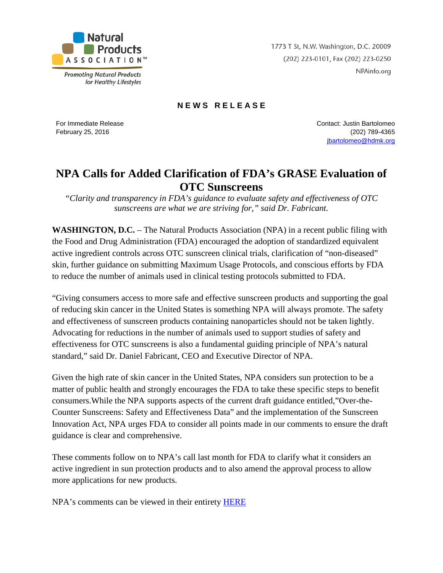

**Promoting Natural Products** for Healthy Lifestyles 1773 T St, N.W. Washington, D.C. 20009 (202) 223-0101, Fax (202) 223-0250 NPAinfo.org

## **N E W S R E L E A S E**

For Immediate Release February 25, 2016

Contact: Justin Bartolomeo (202) 789-4365 [jbartolomeo@hdmk.org](mailto:jbartolomeo@hdmk.org)

## **NPA Calls for Added Clarification of FDA's GRASE Evaluation of OTC Sunscreens**

*"Clarity and transparency in FDA's guidance to evaluate safety and effectiveness of OTC sunscreens are what we are striving for," said Dr. Fabricant.*

**WASHINGTON, D.C.** – The Natural Products Association (NPA) in a recent public filing with the Food and Drug Administration (FDA) encouraged the adoption of standardized equivalent active ingredient controls across OTC sunscreen clinical trials, clarification of "non-diseased" skin, further guidance on submitting Maximum Usage Protocols, and conscious efforts by FDA to reduce the number of animals used in clinical testing protocols submitted to FDA.

"Giving consumers access to more safe and effective sunscreen products and supporting the goal of reducing skin cancer in the United States is something NPA will always promote. The safety and effectiveness of sunscreen products containing nanoparticles should not be taken lightly. Advocating for reductions in the number of animals used to support studies of safety and effectiveness for OTC sunscreens is also a fundamental guiding principle of NPA's natural standard," said Dr. Daniel Fabricant, CEO and Executive Director of NPA.

Given the high rate of skin cancer in the United States, NPA considers sun protection to be a matter of public health and strongly encourages the FDA to take these specific steps to benefit consumers.While the NPA supports aspects of the current draft guidance entitled,"Over-the-Counter Sunscreens: Safety and Effectiveness Data" and the implementation of the Sunscreen Innovation Act, NPA urges FDA to consider all points made in our comments to ensure the draft guidance is clear and comprehensive.

These comments follow on to NPA's call last month for FDA to clarify what it considers an active ingredient in sun protection products and to also amend the approval process to allow more applications for new products.

NPA's comments can be viewed in their entirety [HERE](http://www.npainfo.org/App_Themes/NPA/docs/press/PressReleases/NPA%20Comments-%20OTC%20Sunscreens%20Safety%20and%20Effectiveness%20Data%20-%20FINAL.pdf)